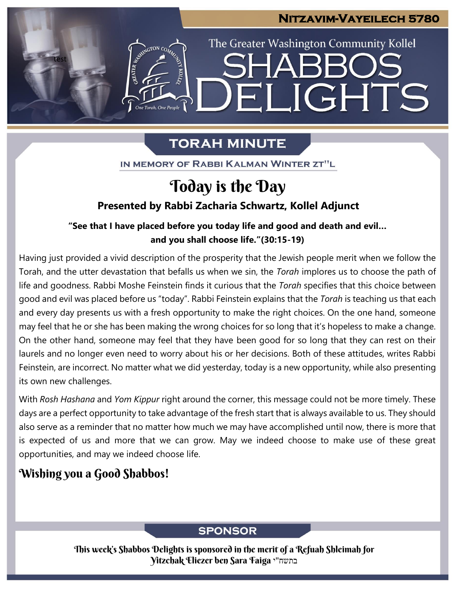### **Nitzavim-Vayeilech 5780**

LIGHTS

The Greater Washington Community Kollel

# **TORAH MINUTE**

EI

IN MEMORY OF RABBI KALMAN WINTER ZT"L

## Today is the Day

### **Presented by Rabbi Zacharia Schwartz, Kollel Adjunct**

#### **"See that I have placed before you today life and good and death and evil… and you shall choose life."(30:15-19) From our archives**

Having just provided a vivid description of the prosperity that the Jewish people merit when we follow the Torah, and the utter devastation that befalls us when we sin, the *Torah* implores us to choose the path of life and goodness. Rabbi Moshe Feinstein finds it curious that the *Torah* specifies that this choice between good and evil was placed before us "today". Rabbi Feinstein explains that the *Torah* is teaching us that each and every day presents us with a fresh opportunity to make the right choices. On the one hand, someone may feel that he or she has been making the wrong choices for so long that it's hopeless to make a change. On the other hand, someone may feel that they have been good for so long that they can rest on their laurels and no longer even need to worry about his or her decisions. Both of these attitudes, writes Rabbi Feinstein, are incorrect. No matter what we did yesterday, today is a new opportunity, while also presenting its own new challenges.

With *Rosh Hashana* and *Yom Kippur* right around the corner, this message could not be more timely. These days are a perfect opportunity to take advantage of the fresh start that is always available to us. They should also serve as a reminder that no matter how much we may have accomplished until now, there is more that is expected of us and more that we can grow. May we indeed choose to make use of these great opportunities, and may we indeed choose life.

## Wishing you a Good Shabbos!

test

### **SPONSOR**

This week's Shabbos Delights is sponsored in the merit of a Refuah Shleimah for Yitzchak Eliezer ben Sara Faiga י"בתשח